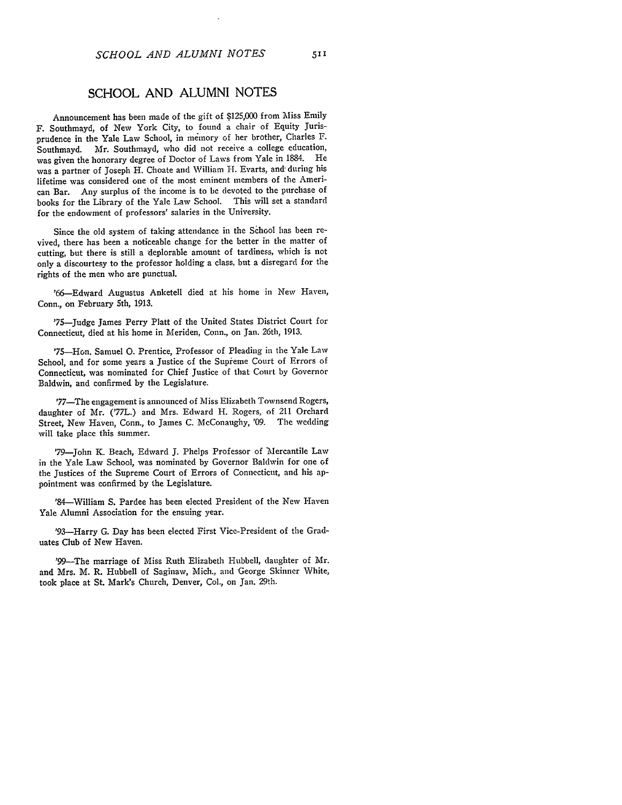## **SCHOOL AND ALUMNI NOTES**

Announcement has been made of the gift of \$125,000 from Miss Emily F. Southmayd, of New York City, to found a chair of Equity Jurisprudence in the Yale Law School, in memory of her brother, Charles F. Southmayd. Mr. Southmayd, who did not receive a college education, was given the honorary degree of Doctor of Laws from Yale in 1884. He was a partner of Joseph H. Choate and William H. Evarts, and during his lifetime was considered one of the most eminent members of the American Bar. Any surplus of the income is to be devoted to the purchase of books for the Library of the Yale Law School. This will set a standard for the endowment of professors' salaries in the University.

Since the old system of taking attendance in the School has been revived, there has been a noticeable change for the better in the matter of cutting, but there is still a deplorable amount of tardiness, which is not only a discourtesy to the professor holding a class, but a disregard for the rights of the men who are punctual.

'66-Edward Augustus Anketell died at his home in New Haven, Conn., on February 5th, 1913.

'75-Judge James Perry Platt of the United States District Court for Connecticut, died at his home in Meriden, Conn., on Jan. 26th, 1913.

'75--Hon. Samuel **0.** Prentice, Professor of Pleading in the Yale Law School, and for some years a Justice of the Supreme Court of Errors of Connecticut, was nominated for Chief Justice of that Court by Governor Baldwin, and confirmed by the Legislature.

'77-The engagement is announced of Miss Elizabeth Townsend Rogers, daughter of Mr. ('77L.) and Mrs. Edward H. Rogers, of 211 Orchard Street, New Haven, Conn., to James C. McConaughy, '09. The wedding will take place this summer.

'79-John K. Beach, Edward J. Phelps Professor of Mercantile Law in the Yale Law School, was nominated by Governor Baldwin for one of the Justices of the Supreme Court of Errors of Connecticut, and his appointment was confirmed by the Legislature.

'84-William S. Pardee has been elected President of the New Haven Yale Alumni Association for the ensuing year.

'93-Harry G. Day has been elected First Vice-President of the Graduates Club of New Haven.

'99-The marriage of Miss Ruth Elizabeth Hubbell, daughter of Mr. and Mrs. M. R. Hubbell of Saginaw, Mich., and George Skinner White, took place at St. Mark's Church, Denver, Col., on Jan. 29th.